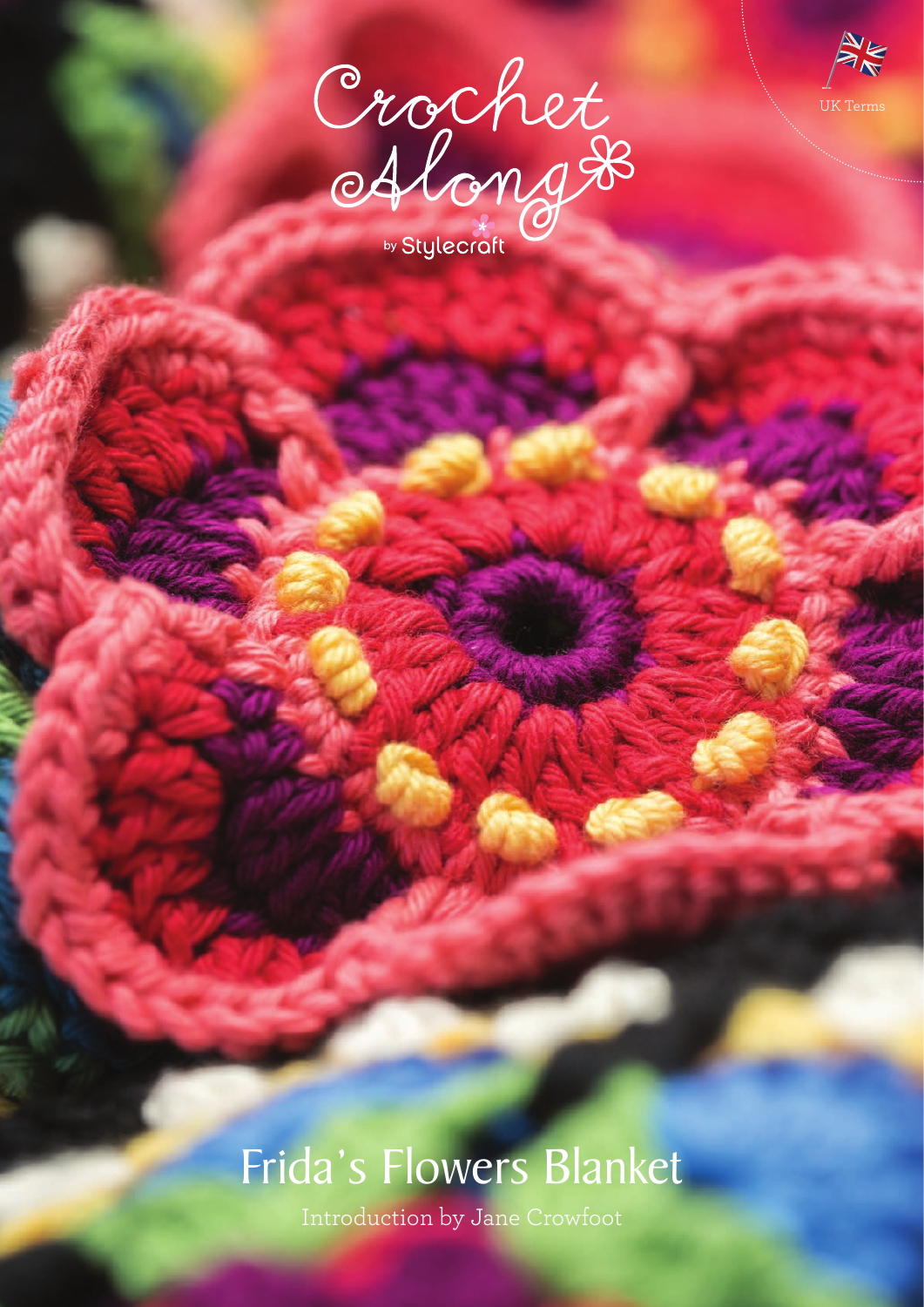



# Frida's Flowers Blanket

Introduction by Jane Crowfoot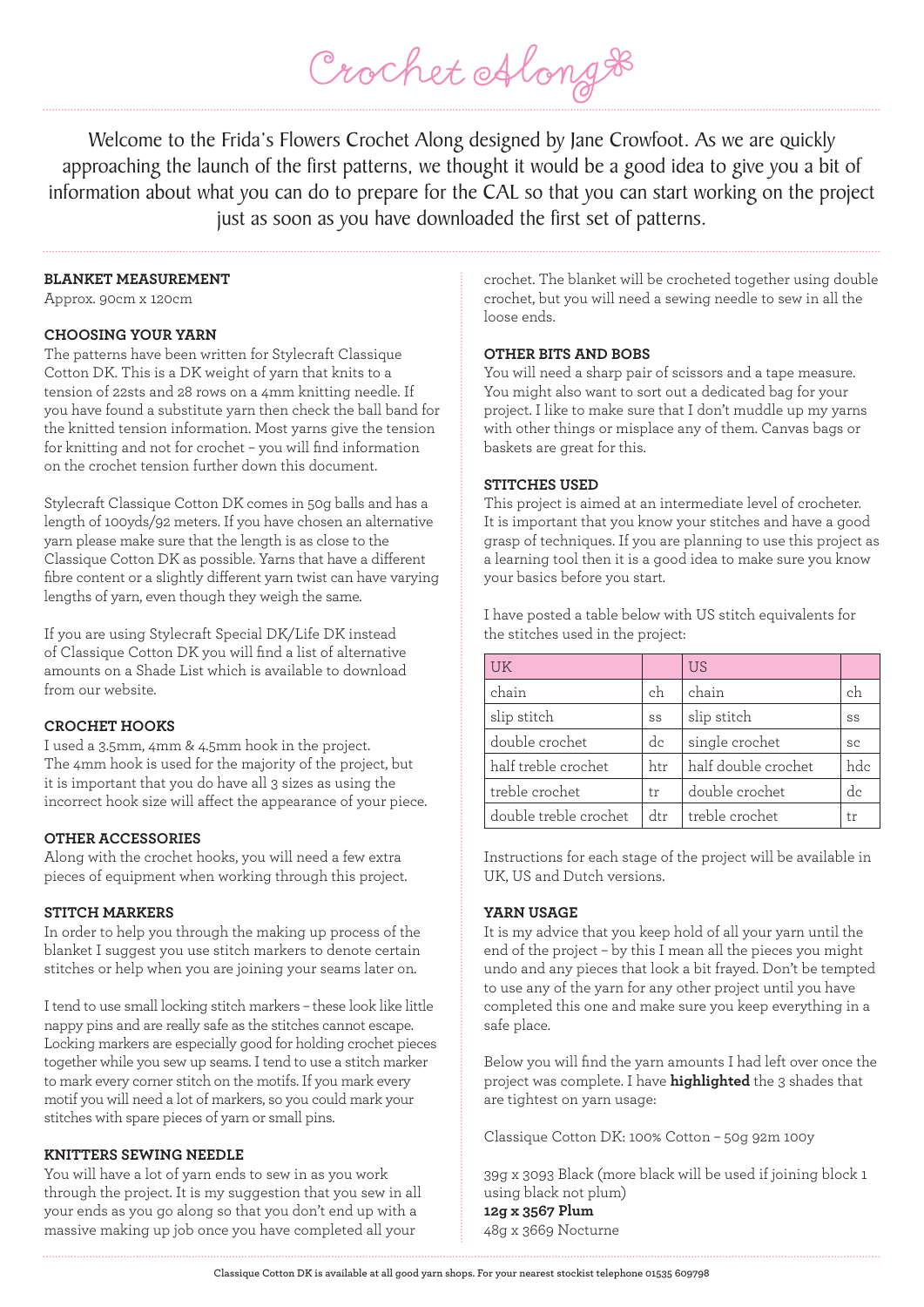Welcome to the Frida's Flowers Crochet Along designed by Jane Crowfoot. As we are quickly approaching the launch of the first patterns, we thought it would be a good idea to give you a bit of information about what you can do to prepare for the CAL so that you can start working on the project just as soon as you have downloaded the first set of patterns.

Crochet Along #

#### **BLANKET MEASUREMENT**

Approx. 90cm x 120cm

#### **CHOOSING YOUR YARN**

The patterns have been written for Stylecraft Classique Cotton DK. This is a DK weight of yarn that knits to a tension of 22sts and 28 rows on a 4mm knitting needle. If you have found a substitute yarn then check the ball band for the knitted tension information. Most yarns give the tension for knitting and not for crochet – you will find information on the crochet tension further down this document.

Stylecraft Classique Cotton DK comes in 50g balls and has a length of 100yds/92 meters. If you have chosen an alternative yarn please make sure that the length is as close to the Classique Cotton DK as possible. Yarns that have a different fibre content or a slightly different yarn twist can have varying lengths of yarn, even though they weigh the same.

If you are using Stylecraft Special DK/Life DK instead of Classique Cotton DK you will find a list of alternative amounts on a Shade List which is available to download from our website.

#### **CROCHET HOOKS**

I used a 3.5mm, 4mm & 4.5mm hook in the project. The 4mm hook is used for the majority of the project, but it is important that you do have all 3 sizes as using the incorrect hook size will affect the appearance of your piece.

#### **OTHER ACCESSORIES**

Along with the crochet hooks, you will need a few extra pieces of equipment when working through this project.

## **STITCH MARKERS**

In order to help you through the making up process of the blanket I suggest you use stitch markers to denote certain stitches or help when you are joining your seams later on.

I tend to use small locking stitch markers – these look like little nappy pins and are really safe as the stitches cannot escape. Locking markers are especially good for holding crochet pieces together while you sew up seams. I tend to use a stitch marker to mark every corner stitch on the motifs. If you mark every motif you will need a lot of markers, so you could mark your stitches with spare pieces of yarn or small pins.

#### **KNITTERS SEWING NEEDLE**

You will have a lot of yarn ends to sew in as you work through the project. It is my suggestion that you sew in all your ends as you go along so that you don't end up with a massive making up job once you have completed all your

crochet. The blanket will be crocheted together using double crochet, but you will need a sewing needle to sew in all the loose ends.

#### **OTHER BITS AND BOBS**

You will need a sharp pair of scissors and a tape measure. You might also want to sort out a dedicated bag for your project. I like to make sure that I don't muddle up my yarns with other things or misplace any of them. Canvas bags or baskets are great for this.

#### **STITCHES USED**

This project is aimed at an intermediate level of crocheter. It is important that you know your stitches and have a good grasp of techniques. If you are planning to use this project as a learning tool then it is a good idea to make sure you know your basics before you start.

I have posted a table below with US stitch equivalents for the stitches used in the project:

| UK                    |     | <b>US</b>           |     |
|-----------------------|-----|---------------------|-----|
| chain                 | ch  | chain               | ch  |
| slip stitch           | SS  | slip stitch         | SS  |
| double crochet        | dc  | single crochet      | SC  |
| half treble crochet   | htr | half double crochet | hdc |
| treble crochet        | tr  | double crochet      | dc  |
| double treble crochet | dtr | treble crochet      | tr  |

Instructions for each stage of the project will be available in UK, US and Dutch versions.

## **YARN USAGE**

It is my advice that you keep hold of all your yarn until the end of the project – by this I mean all the pieces you might undo and any pieces that look a bit frayed. Don't be tempted to use any of the yarn for any other project until you have completed this one and make sure you keep everything in a safe place.

Below you will find the yarn amounts I had left over once the project was complete. I have **highlighted** the 3 shades that are tightest on yarn usage:

Classique Cotton DK: 100% Cotton – 50g 92m 100y

39g x 3093 Black (more black will be used if joining block 1 using black not plum) **12g x 3567 Plum** 48g x 3669 Nocturne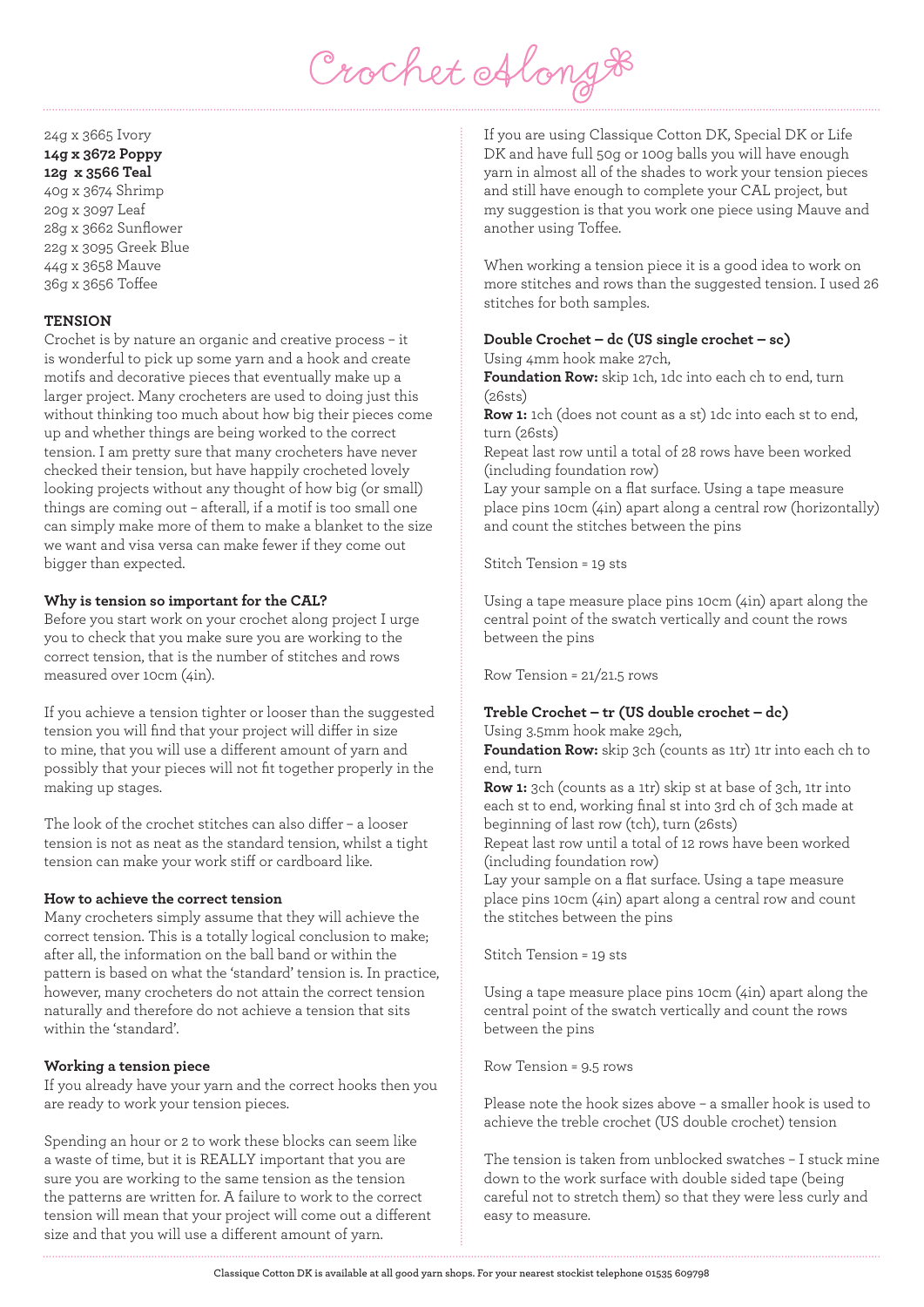

# 24g x 3665 Ivory **14g x 3672 Poppy 12g x 3566 Teal** 40g x 3674 Shrimp 20g x 3097 Leaf

28g x 3662 Sunflower 22g x 3095 Greek Blue 44g x 3658 Mauve 36g x 3656 Toffee

# **TENSION**

Crochet is by nature an organic and creative process – it is wonderful to pick up some yarn and a hook and create motifs and decorative pieces that eventually make up a larger project. Many crocheters are used to doing just this without thinking too much about how big their pieces come up and whether things are being worked to the correct tension. I am pretty sure that many crocheters have never checked their tension, but have happily crocheted lovely looking projects without any thought of how big (or small) things are coming out – afterall, if a motif is too small one can simply make more of them to make a blanket to the size we want and visa versa can make fewer if they come out bigger than expected.

#### **Why is tension so important for the CAL?**

Before you start work on your crochet along project I urge you to check that you make sure you are working to the correct tension, that is the number of stitches and rows measured over 10cm (4in).

If you achieve a tension tighter or looser than the suggested tension you will find that your project will differ in size to mine, that you will use a different amount of yarn and possibly that your pieces will not fit together properly in the making up stages.

The look of the crochet stitches can also differ – a looser tension is not as neat as the standard tension, whilst a tight tension can make your work stiff or cardboard like.

#### **How to achieve the correct tension**

Many crocheters simply assume that they will achieve the correct tension. This is a totally logical conclusion to make; after all, the information on the ball band or within the pattern is based on what the 'standard' tension is. In practice, however, many crocheters do not attain the correct tension naturally and therefore do not achieve a tension that sits within the 'standard'.

#### **Working a tension piece**

If you already have your yarn and the correct hooks then you are ready to work your tension pieces.

Spending an hour or 2 to work these blocks can seem like a waste of time, but it is REALLY important that you are sure you are working to the same tension as the tension the patterns are written for. A failure to work to the correct tension will mean that your project will come out a different size and that you will use a different amount of yarn.

If you are using Classique Cotton DK, Special DK or Life DK and have full 50g or 100g balls you will have enough yarn in almost all of the shades to work your tension pieces and still have enough to complete your CAL project, but my suggestion is that you work one piece using Mauve and another using Toffee.

When working a tension piece it is a good idea to work on more stitches and rows than the suggested tension. I used 26 stitches for both samples.

# **Double Crochet – dc (US single crochet – sc)**

Using 4mm hook make 27ch,

**Foundation Row:** skip 1ch, 1dc into each ch to end, turn (26sts)

**Row 1:** 1ch (does not count as a st) 1dc into each st to end, turn (26sts)

Repeat last row until a total of 28 rows have been worked (including foundation row)

Lay your sample on a flat surface. Using a tape measure place pins 10cm (4in) apart along a central row (horizontally) and count the stitches between the pins

Stitch Tension = 19 sts

Using a tape measure place pins 10cm (4in) apart along the central point of the swatch vertically and count the rows between the pins

Row Tension = 21/21.5 rows

#### **Treble Crochet – tr (US double crochet – dc)** Using 3.5mm hook make 29ch,

**Foundation Row:** skip 3ch (counts as 1tr) 1tr into each ch to end, turn

**Row 1:** 3ch (counts as a 1tr) skip st at base of 3ch, 1tr into each st to end, working final st into 3rd ch of 3ch made at beginning of last row (tch), turn (26sts)

Repeat last row until a total of 12 rows have been worked (including foundation row)

Lay your sample on a flat surface. Using a tape measure place pins 10cm (4in) apart along a central row and count the stitches between the pins

Stitch Tension = 19 sts

Using a tape measure place pins 10cm (4in) apart along the central point of the swatch vertically and count the rows between the pins

Row Tension = 9.5 rows

Please note the hook sizes above – a smaller hook is used to achieve the treble crochet (US double crochet) tension

The tension is taken from unblocked swatches – I stuck mine down to the work surface with double sided tape (being careful not to stretch them) so that they were less curly and easy to measure.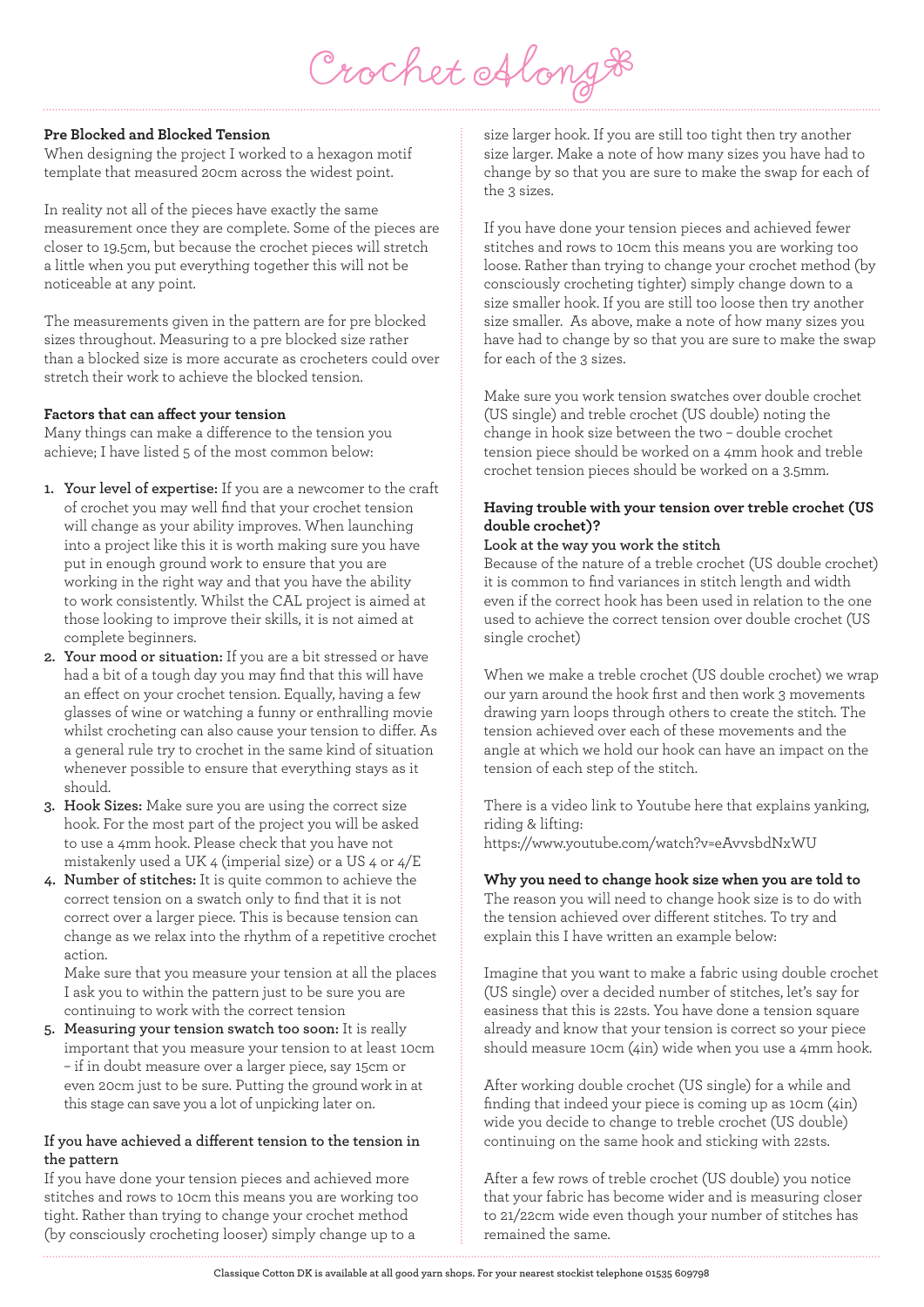Crochet Along &

#### **Pre Blocked and Blocked Tension**

When designing the project I worked to a hexagon motif template that measured 20cm across the widest point.

In reality not all of the pieces have exactly the same measurement once they are complete. Some of the pieces are closer to 19.5cm, but because the crochet pieces will stretch a little when you put everything together this will not be noticeable at any point.

The measurements given in the pattern are for pre blocked sizes throughout. Measuring to a pre blocked size rather than a blocked size is more accurate as crocheters could over stretch their work to achieve the blocked tension.

# **Factors that can affect your tension**

Many things can make a difference to the tension you achieve; I have listed 5 of the most common below:

- **1. Your level of expertise:** If you are a newcomer to the craft of crochet you may well find that your crochet tension will change as your ability improves. When launching into a project like this it is worth making sure you have put in enough ground work to ensure that you are working in the right way and that you have the ability to work consistently. Whilst the CAL project is aimed at those looking to improve their skills, it is not aimed at complete beginners.
- **2. Your mood or situation:** If you are a bit stressed or have had a bit of a tough day you may find that this will have an effect on your crochet tension. Equally, having a few glasses of wine or watching a funny or enthralling movie whilst crocheting can also cause your tension to differ. As a general rule try to crochet in the same kind of situation whenever possible to ensure that everything stays as it should.
- **3. Hook Sizes:** Make sure you are using the correct size hook. For the most part of the project you will be asked to use a 4mm hook. Please check that you have not mistakenly used a UK 4 (imperial size) or a US 4 or 4/E
- **4. Number of stitches:** It is quite common to achieve the correct tension on a swatch only to find that it is not correct over a larger piece. This is because tension can change as we relax into the rhythm of a repetitive crochet action.

 Make sure that you measure your tension at all the places I ask you to within the pattern just to be sure you are continuing to work with the correct tension

**5. Measuring your tension swatch too soon:** It is really important that you measure your tension to at least 10cm – if in doubt measure over a larger piece, say 15cm or even 20cm just to be sure. Putting the ground work in at this stage can save you a lot of unpicking later on.

# **If you have achieved a different tension to the tension in the pattern**

If you have done your tension pieces and achieved more stitches and rows to 10cm this means you are working too tight. Rather than trying to change your crochet method (by consciously crocheting looser) simply change up to a

size larger hook. If you are still too tight then try another size larger. Make a note of how many sizes you have had to change by so that you are sure to make the swap for each of the 3 sizes.

If you have done your tension pieces and achieved fewer stitches and rows to 10cm this means you are working too loose. Rather than trying to change your crochet method (by consciously crocheting tighter) simply change down to a size smaller hook. If you are still too loose then try another size smaller. As above, make a note of how many sizes you have had to change by so that you are sure to make the swap for each of the 3 sizes.

Make sure you work tension swatches over double crochet (US single) and treble crochet (US double) noting the change in hook size between the two – double crochet tension piece should be worked on a 4mm hook and treble crochet tension pieces should be worked on a 3.5mm.

# **Having trouble with your tension over treble crochet (US double crochet)?**

#### **Look at the way you work the stitch**

Because of the nature of a treble crochet (US double crochet) it is common to find variances in stitch length and width even if the correct hook has been used in relation to the one used to achieve the correct tension over double crochet (US single crochet)

When we make a treble crochet (US double crochet) we wrap our yarn around the hook first and then work 3 movements drawing yarn loops through others to create the stitch. The tension achieved over each of these movements and the angle at which we hold our hook can have an impact on the tension of each step of the stitch.

There is a video link to Youtube here that explains yanking, riding & lifting: https://www.youtube.com/watch?v=eAvvsbdNxWU

# **Why you need to change hook size when you are told to**

The reason you will need to change hook size is to do with the tension achieved over different stitches. To try and explain this I have written an example below:

Imagine that you want to make a fabric using double crochet (US single) over a decided number of stitches, let's say for easiness that this is 22sts. You have done a tension square already and know that your tension is correct so your piece should measure 10cm (4in) wide when you use a 4mm hook.

After working double crochet (US single) for a while and finding that indeed your piece is coming up as 10cm (4in) wide you decide to change to treble crochet (US double) continuing on the same hook and sticking with 22sts.

After a few rows of treble crochet (US double) you notice that your fabric has become wider and is measuring closer to 21/22cm wide even though your number of stitches has remained the same.